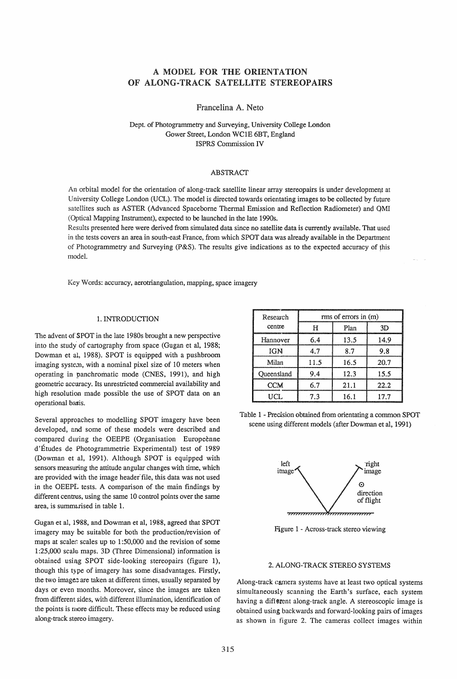# A MODEL FOR THE ORIENTATION OF ALONG·TRACK SATELLITE STEREOPAIRS

Francelina A. Neto

Dept. of Photogrammetry and Surveying, University College London Gower Street, London WCIE 6BT, England ISPRS Commission IV

# ABSTRACT

An orbital model for the orientation of along-track satellite linear array stereopairs is under developmeqt at University College London (UCL). The model is directed towards orientating images to be collected by future satellites such as ASTER (Advanced Spaceborne Thermal Emission and Reflection Radiometer) and QMI (Optical Mapping Instrument), expected to be launched in the late 1990s.

Results presented here were derived from simulated data since no satellite data is currently available. That used in the tests covers an area in south-east France, from which SPOT data was already available in the Department of Photogrammetry and Surveying (P&S). The results give indications as to the expected accuracy of this model.

Key Words: accuracy, aerotriangulation, mapping, space imagery

### 1. INTRODUCTION

The advent of SPOT in the late 1980s brought a new perspective into the study' of cartography from space (Gugan et aI, 1988; Dowman et aI, 1988). SPOT is equipped with a pushbroom imaging system, with a nominal pixel size of 10 meters when operating in panchromatic mode (CNES, 1991), and high geometric accuracy. Its unrestricted commercial availability and high resolution made possible the use of SPOT data on an operational basis.

Several approaches to modelling SPOT imagery have been developed, and some of these models were described and compared during the OEEPE (Organisation Europeènne d'Etudes de Photogrammetrie Experimental) test of 1989 (Dowman et aI, 1991). Although SPOT is equipped with sensors measuring the attitude angular changes with time, which are provided with the image header' file, this data was not used in the OEEPE tests. A comparison of the main findings by different centres, using the same 10 control points over the same area, is summarised in table 1.

Gugan et aI, 1988, and Dowman et aI, 1988, agreed that SPOT imagery may be suitable for both the production/revision of maps at scales scales up to  $1:50,000$  and the revision of some 1 :25,000 scale maps. 3D (Three Dimensional) information is obtained using SPOT side-looking stereopairs (figure 1), though this type of imagery has some disadvantages. Firstly, the two image: are taken at different times, usually separated by days or even months. Moreover, since the images are taken from different sides, with different illumination, identification of the points is more difficult. These effects may be reduced using along-track stereo imagery.

| Research   | rms of errors in (m) |      |      |  |
|------------|----------------------|------|------|--|
| centre     | н                    | Plan | 3D   |  |
| Hannover   | 64                   | 13.5 | 14.9 |  |
| <b>IGN</b> | 4.7                  | 87   | 9.8  |  |
| Milan      | 11.5                 | 16.5 | 20.7 |  |
| Oueensland | 94                   | 12.3 | 15.5 |  |
| <b>CCM</b> | 67                   | 21.1 | 22.2 |  |
| LICL.      | 7.3                  | 16.1 | 17.7 |  |

Table 1 - Precision obtained from orientating a common SPOT scene using different models (after Dowman et aI, 1991)



Figure 1 - Across-track stereo viewing

# 2. A LONG-TRACK STEREO SYSTEMS

Along-track camera systems have at least two optical systems simultaneously scanning the Earth's surface, each system having a different along-track angle. A stereoscopic image is obtained using backwards and forward-looking pairs of images as shown in figure 2. The cameras collect images within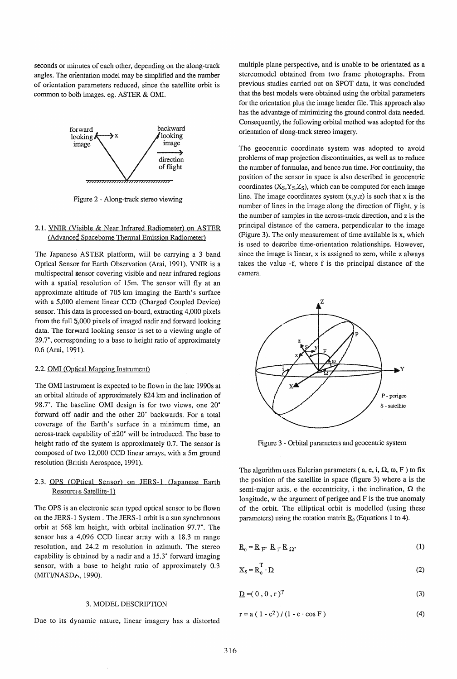seconds or minutes of each other, depending on the along-track angles. The orientation model may be simplified and the number of orientation parameters reduced, since the satellite orbit is common to both images. eg. ASTER & OMI.



Figure 2 - Along-track stereo viewing

# 2.1. YNlR (Visible & Near Infrared Radiometer) on ASTER (Advanced Spaceborne Thermal Emission Radiometer)

The Japanese ASTER platform, will be carrying a 3 band Optical Sensor for Earth Observation (Arai, 1991). VNlR is a multispectral sensor covering visible and near infrared regions with a spatial resolution of 15m. The sensor will fly at an approximate altitude of 705 km imaging the Earth's surface with a 5,000 element linear CCD (Charged Coupled Device) sensor. This data is processed on-board, extracting 4,000 pixels from the full 5,000 pixels of imaged nadir and forward looking data. The forward looking sensor is set to a viewing angle of 29.7°, corresponding to a base to height ratio of approximately 0.6 (Arai, 1991).

### 2.2. OMI (Optical Mapping Instrument)

The OMI instrument is expected to be flown in the late 1990s at an orbital altitude of approximately 824 km and inclination of 98.T. The baseline OMI design is for two views, one 20° forward off nadir and the other 20° backwards. For a total coverage of the Earth's surface in a minimum time, an across-track c,pability of  $\pm 20^\circ$  will be introduced. The base to height ratio of the system is approximately 0.7. The sensor is composed of two 12,000 CCD linear arrays, with a 5m ground resolution (British Aerospace, 1991).

# 2.3. OPS (OPtical Sensor) on JERS-1 (Japanese Earth Resource:s Satellite-1)

The OPS is an electronic scan typed optical sensor to be flown on the JERS-l System. The JERS-l orbit is a sun synchronous orbit at 568 km height, with orbital inclination 97.7°. The sensor has a 4,096 CCD linear array with a 18.3 m range resolution, and 24.2 m resolution in azimuth. The stereo capability is obtained by a nadir and a 15.3° forward imaging sensor, with a base to height ratio of approximately 0.3 (MITI/NASDA, 1990).

#### 3. MODEL DESCRIPTION

Due to its dynamic nature, linear imagery has a distorted

multiple plane perspective, and is unable to be orientated as a stereomodel obtained from two frame photographs. From previous studies carried out on SPOT data, it was concluded that the best models were obtained using the orbital parameters for the orientation plus the image header file. This approach also has the advantage of minimizing the ground control data needed. Consequently) the following orbital method was adopted for the orientation of along-track stereo imagery.

The geocentric coordinate system was adopted to avoid problems of map projection discontinuities, as well as to reduce the number of formulae, and hence run time. For continuity, the position of the sensor in space is also described in geocentric coordinates  $(X_S, Y_S, Z_S)$ , which can be computed for each image line. The image coordinates system  $(x,y,z)$  is such that x is the number of lines in the image along the direction of flight, y is the number of samples in the across-track direction, and z is the principal distance of the camera, perpendicular to the image (Figure 3). The only measurement of time available is  $x$ , which is used to describe time-orientation relationships. However, since the image is linear, x is assigned to zero, while z always takes the value -f, where f is the principal distance of the camera.



Figure 3 - Orbital parameters and geocentric system

The algorithm uses Eulerian parameters (a, e, i,  $\Omega$ ,  $\omega$ , F ) to fix the position of the satellite in space (figure 3) where a is the semi-major axis, e the eccentricity, i the inclination,  $\Omega$  the longitude, w the argument of perigee and F is the true anomaly of the orbit. The elliptical orbit is modelled (using these parameters) using the rotation matrix  $\underline{R}_0$  (Equations 1 to 4).

$$
\mathbf{R}_0 = \mathbf{R}_{\mathbf{F'}} \ \mathbf{R}_{\mathbf{i'}} \mathbf{R}_{\Omega'} \tag{1}
$$

$$
\underline{X}_{\mathcal{S}} = \underline{R}_{0}^{\mathrm{T}} \cdot \underline{D} \tag{2}
$$

$$
\underline{\mathbf{D}} = (0, 0, r)^T \tag{3}
$$

$$
r = a (1 - e2)/(1 - e \cdot cos F)
$$
 (4)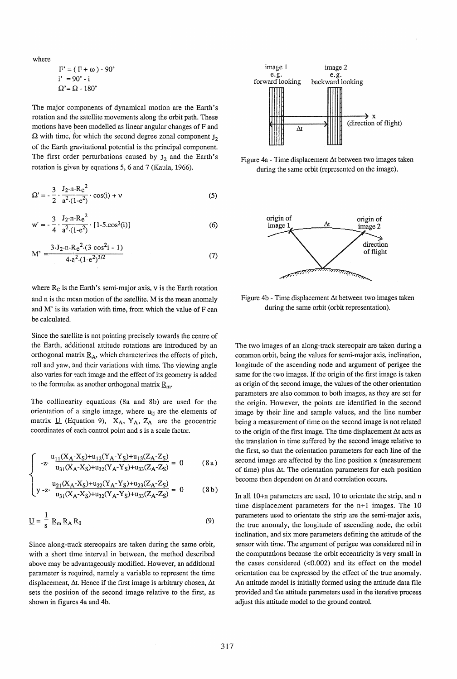where

$$
F' = (F + \omega) - 90^{\circ}
$$
  
i' = 90^{\circ} - i  

$$
\Omega' = \Omega - 180^{\circ}
$$

The major components of dynamical motion are the Earth's rotation and the satellite movements along the orbit path. These motions have peen modelled as linear angular changes of F and  $\Omega$  with time, for which the second degree zonal component  $J_2$ of the Earth gravitational potential is the principal component. The first order perturbations caused by  $J_2$  and the Earth's rotation is given by equations 5, 6 and 7 (Kaula, 1966).

$$
\Omega' = -\frac{3}{2} \cdot \frac{J_2 \cdot n \cdot Re^2}{a^2 \cdot (1 - e^2)} \cdot \cos(i) + v \tag{5}
$$

$$
w' = -\frac{3}{4} \cdot \frac{J_2 \cdot n \cdot Re^2}{a^2 \cdot (1 - e^2)} \cdot [1 - 5 \cdot \cos^2(i)] \tag{6}
$$

$$
M' = \frac{3 J_2 \cdot n \cdot Re^2 (3 \cos^2 i - 1)}{4 \cdot e^2 (1 - e^2)^{3/2}}
$$
 (7)

where  $R_e$  is the Earth's semi-major axis,  $v$  is the Earth rotation and n is the mean motion of the satellite. M is the mean anomaly and M' is its variation with time, from which the value of F can be calculated.

Since the satellite is not pointing precisely towards the centre of the Earth, additional attitude rotations are introduced by an orthogonal matrix  $\underline{R}_A$ , which characterizes the effects of pitch, roll and yaw, and their variations with time. The viewing angle also varies for each image and the effect of its geometry is added to the formulae as another orthogonal matrix  $\underline{R}_m$ .

The collinearity equations (8a and 8b) are used for the orientation of a single image, where  $u_{ij}$  are the elements of matrix  $U$  (Equation 9),  $X_A$ ,  $Y_A$ ,  $Z_A$  are the geocentric coordinates of each control point and s is a scale factor.

$$
\int -z \cdot \frac{u_{11}(X_A - X_S) + u_{12}(Y_A - Y_S) + u_{13}(Z_A - Z_S)}{u_{31}(X_A - X_S) + u_{32}(Y_A - Y_S) + u_{33}(Z_A - Z_S)} = 0
$$
 (8a)

$$
\left\{ y - z \cdot \frac{u_{21}(X_A - X_S) + u_{22}(Y_A - Y_S) + u_{23}(Z_A - Z_S)}{u_{31}(X_A - X_S) + u_{32}(Y_A - Y_S) + u_{33}(Z_A - Z_S)} = 0 \right\}
$$
 (8b)

$$
\underline{\mathbf{U}} = \frac{1}{\mathbf{s}} \mathbf{R}_{\mathbf{m}} \mathbf{R}_{\mathbf{A}} \mathbf{R}_{0}
$$
 (9)

Since along-track stereopairs are taken during the same orbit, with a short time interval in between, the method described above may be advantageously modified. However, an additional parameter is required, namely a variable to represent the time displacement,  $\Delta t$ . Hence if the first image is arbitrary chosen,  $\Delta t$ sets the position of the second image relative to the first, as shown in figures 4a and 4b.



Figure 4a - Time displacement  $\Delta t$  between two images taken during the same orbit (represented on the image),



Figure 4b - Time displacement  $\Delta t$  between two images taken during the same orbit (orbit representation).

The two images of an along-track stereopair are taken during a common orbit, being the values for semi-major axis, inclination, longitude of the ascending node and argument of perigee the same for the two images. If the origin of the first image is taken as origin of the second image, the values of the other orientation parameters are also common to both images, as they are set for the origin. However, the points are identified in the second image by their line and sample values, and the line number being a measurement of time on the second image is not related to the origin of the first image. The time displacement  $\Delta t$  acts as the translation in time suffered by the second image relative to the first, so that the orientation parameters for each line of the second image are affected by the line position x (measurement of time) plus  $\Delta t$ . The orientation parameters for each position become then dependent on  $\Delta t$  and correlation occurs.

In all lO+n parameters are used, 10 to orientate the strip, and n time displacement parameters for the  $n+1$  images. The 10 parameters used to orientate the strip are the semi-major axis, the true anomaly, the longitude of ascending node, the orbit inclination, and six more parameters defining the attitude of the sensor with time. The argument of perigee was considered nil in the computations because the orbit eccentricity is very small in the cases considered  $(<0.002$ ) and its effect on the model orientation caa be expressed by the effect of the true anomaly. An attitude model is initially formed using the attitude data file provided and the attitude parameters used in the iterative process adjust this attitude model to the ground control.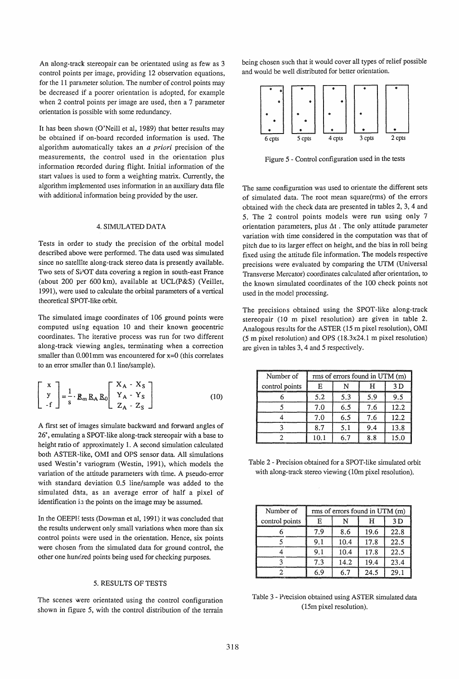An along-track stereopair can be orientated using as few as 3 control points per image, providing 12 observation equations, for the 11 parameter solution. The number of control points may be decreased if a poorer orientation is adopted, for example when 2 control points per image are used, then a 7 parameter orientation is possible with some redundancy.

It has been shown (O'Neill et aI, 1989) that better results may be obtained if on-board recorded information is used. The algorithm automatically takes an *a priori* precision of the measurements, the control used in the orientation plus information recorded during flight. Initial information of the start values is used to form a weighting matrix. Currently, the algorithm implemented uses information in an auxiliary data file with additional information being provided by the user.

# 4. SIMULATED DATA

Tests in order to study the precision of the orbital model described above were performed. The data used was simulated since no satellite along-track stereo data is presently available. Two sets of SPOT data covering a region in south-east France (about 200 per 600 km), available at UCL(P&S) (Veillet, 1991), were used to calculate the orbital parameters of a vertical theoretical SPOT-like orbit.

The simulated image coordinates of 106 ground points were computed using equation 10 and their known geocentric coordinates. The iterative process was run for two different along-track viewing angles, terminating when a correction smaller than 0.001mm was encountered for  $x=0$  (this correlates to an error smaller than 0.1 line/sample).

$$
\begin{bmatrix} x \\ y \\ -f \end{bmatrix} = \frac{1}{s} \cdot R_m R_A R_0 \begin{bmatrix} X_A - X_S \\ Y_A - Y_S \\ Z_A - Z_S \end{bmatrix}
$$
 (10)

A first set of images simulate backward and forward angles of 26°, emulating a SPOT-like along-track stereopair with a base to height ratio of approximately 1. A second simulation calculated both ASTER-like, OMI and OPS sensor data. All simulations used Westin's variogram (Westin, 1991), which models the variation of the attitude parameters with time. A pseudo-error with standard deviation 0.5 line/sample was added to the simulated data, as an average error of half a pixel of identification in the points on the image may be assumed.

In the OEEPE tests (Dowman et aI, 1991) it was concluded that the results underwent only small variations when more than six control points were used in the orientation. Hence, six points were chosen from the simulated data for ground control, the other one hundred points being used for checking purposes.

#### 5. RESULTS OF TESTS

The scenes were orientated using the control configuration shown in figure 5, with the control distribution of the terrain being chosen such that it would cover all types of relief possible and would be well distributed for better orientation.



Figure 5 - Control configuration used in the tests

The same configuration was used to orientate the different sets of simulated data. The root mean square(rms) of the errors obtained with the check data are presented in tables 2, 3, 4 and 5. The 2 control points models were run using only 7 orientation parameters, plus  $\Delta t$ . The only attitude parameter variation with time considered in the computation was that of pitch due to its larger effect on height, and the bias in roll being fixed using the attitude file information. The models respective precisions were evaluated by comparing the UTM (Universal Transverse Mercator) coordinates calculated after orientation, to the known simulated coordinates of the 100 check points not used in the model processing.

The precisions obtained using the SPOT-like along-track stereopair (10 m pixel resolution) are given in table 2. Analogous results for the ASTER (15 m pixel resolution), OMI (5 m pixel resolution) and OPS (l8.3x24.1 m pixel resolution) are given in tables 3, 4 and 5 respectively.

| Number of      | rms of errors found in UTM (m) |     |     |      |
|----------------|--------------------------------|-----|-----|------|
| control points |                                |     | н   | ח ?  |
|                | 5.2                            | 5.3 | 5.9 |      |
|                | 7.0                            | 6.5 | 7.6 | 12.2 |
|                | 7.0                            | 6.5 | 7.6 | 12.2 |
|                | 8.7                            | 5.1 | 9.4 | 13.8 |
|                | 10.1                           | 6.7 | 8.8 | 15.0 |

Table 2 - Precision obtained for a SPOT-like simulated orbit with along-track stereo viewing (10m pixel resolution).

| Number of      | rms of errors found in UTM (m) |      |      |      |
|----------------|--------------------------------|------|------|------|
| control points |                                |      | Н    | 3 D  |
|                | 7 Q                            | 8.6  | 19.6 | 22.8 |
|                |                                | 10.4 | 17.8 | 22.5 |
|                | 9.1                            | 10.4 | 17.8 | 22.5 |
|                | 73                             | 14.2 | 19.4 | 23.4 |
|                | 6 ዓ                            | 67   | 24.5 | 29.1 |

Table 3 - Precision obtained using ASTER simulated data (15m pixel resolution).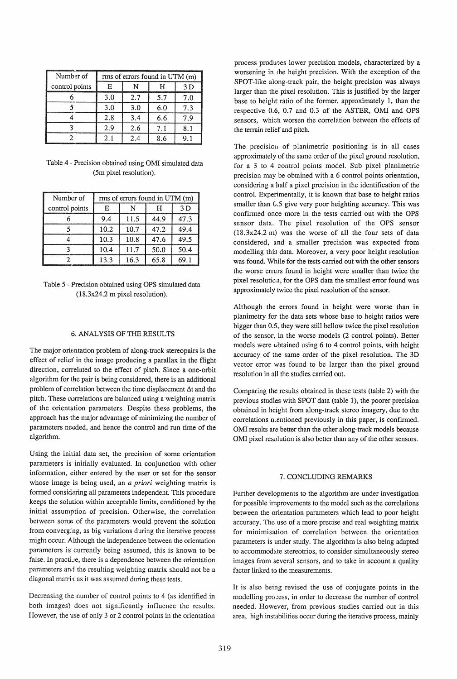| Number of      | rms of errors found in UTM (m) |     |     |     |
|----------------|--------------------------------|-----|-----|-----|
| control points |                                |     |     | 3 D |
|                | 3.0                            | 2.7 | 5.7 | 7.0 |
|                | 3.0                            | 3.0 | 6.0 | 73  |
|                | 2.8                            | 3.4 | 6.6 | 7 Q |
|                | 2.9                            | 2.6 | 7.1 |     |
|                | 21                             | 2.4 | ጸ ճ |     |

Table 4 - Precision obtained using OMI simulated data (5m pixel resolution).

| Number of      | rms of errors found in UTM (m) |      |      |      |
|----------------|--------------------------------|------|------|------|
| control points |                                |      |      | 3 D  |
|                | 9.4                            | 11.5 | 44.9 | 47.3 |
|                | 10.2                           | 10.7 | 47.2 | 49.4 |
|                | 10.3                           | 10.8 | 47.6 | 49.5 |
|                | 10.4                           | 11.7 | 50.0 | 50.4 |
|                | 13.3                           | 16.3 | 65.8 | 69.1 |

Table 5 - Precision obtained using OPS simulated data (18.3x24.2 m pixel resolution).

# 6. ANALYSIS OF THE RESULTS

The major orientation problem of along-track stereopairs is the effect of relief in the image producing a parallax in the flight direction, correlated to the effect of pitch. Since a one-orbit algorithm for the pair is being considered, there is an additional problem of correlation between the time displacement  $\Delta t$  and the pitch. These correlations are balanced using a weighting matrix of the orientation parameters. Despite these problems, the approach has the major advantage of minimizing the number of parameters needed, and hence the control and run time of the algorithm.

Using the initial data set, the precision of some orientation parameters is initially evaluated. In conjunction with other information, either entered by the user or set for the sensor whose image is being used, an *a priori* weighting matrix is formed considering all parameters independent. This procedure keeps the solution within acceptable limits, conditioned by the initial assumption of precision. Otherwise, the correlation between some of the parameters would prevent the solution from converging, as big variations during the iterative process might occur. Although the independence between the orientation parameters is currently being assumed, this is known to be false. In practice, there is a dependence between the orientation parameters and the resulting weighting matrix should not be a diagonal matrix as it was assumed during these tests.

Decreasing the number of control points to 4 (as identified in both images) does not significantly influence the results. However, the use of only 3 or 2 control points in the orientation process produces lower precision models, characterized by a worsening in (he height precision. With the exception of the SPOT-like along-track pair, the height precision was always larger than the pixel resolution. This is justified by the larger base to height ratio of the former, approximately 1, than the respective 0.6, 0.7 and 0.3 of the ASTER, OMI and OPS sensors, which worsen the correlation between the effects of the terrain relief and pitch.

The precision of planimetric positioning is in all cases approximately of the same order of the pixel ground resolution, for a 3 to 4 control points model. Sub pixel planimetric precision may be obtained with a 6 control points orientation, considering a half a pixel precision in the identification of the control. Experimentally, it is known that base to height ratios smaller than C.5 give very poor heighting accuracy. This was confirmed once more in the tests carried out with the OPS sensor data. The pixel resolution of the OPS sensor (18.3x24.2 m) was the worse of all the four sets of data considered, and a smaller precision was expected from modelling this data. Moreover, a very poor height resolution was found. While for the tests carried out with the other sensors the worse errors found in height were smaller than twice the pixel resolution, for the OPS data the smallest error found was approximately twice the pixel resolution of the sensor.

Although the errors found in height were worse than in planimetry for the data sets whose base to height ratios were bigger than 0.5, they were still bellow twice the pixel resolution of the sensor, in the worse models (2 control points). Better models were obtained using 6 to 4 control points, with height accuracy of the same order of the pixel resolution. The 3D vector error was found to be larger than the pixel ground resolution in all the studies carried out.

Comparing the results obtained in these tests (table 2) with the previous studies with SPOT data (table 1), the poorer precision obtained in height from along-track stereo imagery, due to the correlations n;entioned previously in this paper, is confirmed. OMI results are better than the other along-track models because OMI pixel resulution is also better than any of the other sensors.

# 7. CONCLUDING REMARKS

Further developments to the algorithm are under investigation for possible improvements to the model such as the correlations between the orientation parameters which lead to poor height accuracy. The use of a more precise and real weighting matrix for minimisation of correlation between the orientation parameters is under study. The algorithm is also being adapted to accommodate stereotrios, to consider simultaneously stereo images from several sensors, and to take in account a quality factor linked to the measurements.

It is also being revised the use of conjugate points in the modelling process, in order to decrease the number of control needed. However, from previous studies carried out in this area, high instabilities occur during the iterative process, mainly